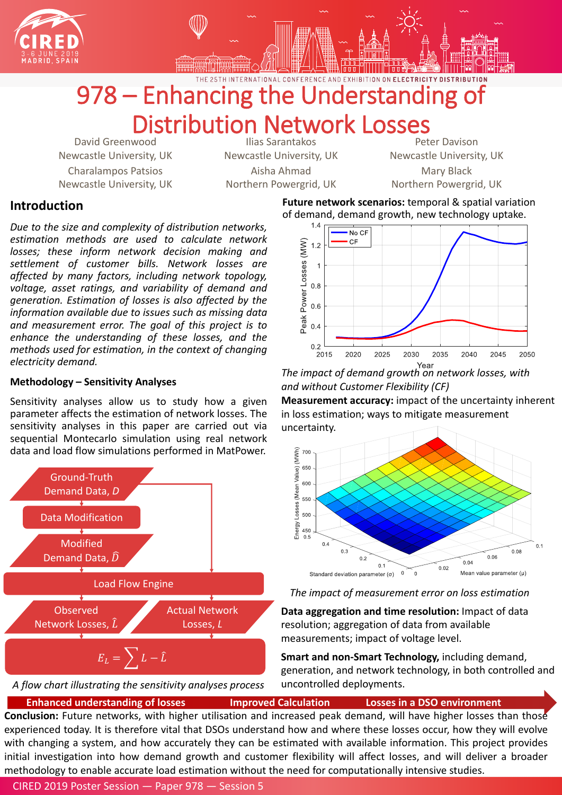## **Introduction**

*Due to the size and complexity of distribution networks, estimation methods are used to calculate network losses; these inform network decision making and settlement of customer bills. Network losses are affected by many factors, including network topology, voltage, asset ratings, and variability of demand and generation. Estimation of losses is also affected by the information available due to issues such as missing data and measurement error. The goal of this project is to enhance the understanding of these losses, and the methods used for estimation, in the context of changing electricity demand.*

### **Methodology – Sensitivity Analyses**

Sensitivity analyses allow us to study how a given parameter affects the estimation of network losses. The sensitivity analyses in this paper are carried out via sequential Montecarlo simulation using real network data and load flow simulations performed in MatPower.





# 978 – Enhancing the Understanding of Distribution Network Losses

David Greenwood Newcastle University, UK Charalampos Patsios Newcastle University, UK

Ilias Sarantakos Newcastle University, UK Aisha Ahmad Northern Powergrid, UK

Peter Davison Newcastle University, UK Mary Black

Northern Powergrid, UK

## CIRED 2019 Poster Session — Paper 978 — Session 5

### **Future network scenarios:** temporal & spatial variation

of demand, demand growth, new technology uptake.



**Data aggregation and time resolution:** Impact of data resolution; aggregation of data from available

measurements; impact of voltage level.



**Smart and non-Smart Technology,** including demand, generation, and network technology, in both controlled and uncontrolled deployments.

*The impact of measurement error on loss estimation*

**Enhanced understanding of losses Improved Calculation Losses in a DSO environment Conclusion:** Future networks, with higher utilisation and increased peak demand, will have higher losses than those experienced today. It is therefore vital that DSOs understand how and where these losses occur, how they will evolve with changing a system, and how accurately they can be estimated with available information. This project provides initial investigation into how demand growth and customer flexibility will affect losses, and will deliver a broader methodology to enable accurate load estimation without the need for computationally intensive studies.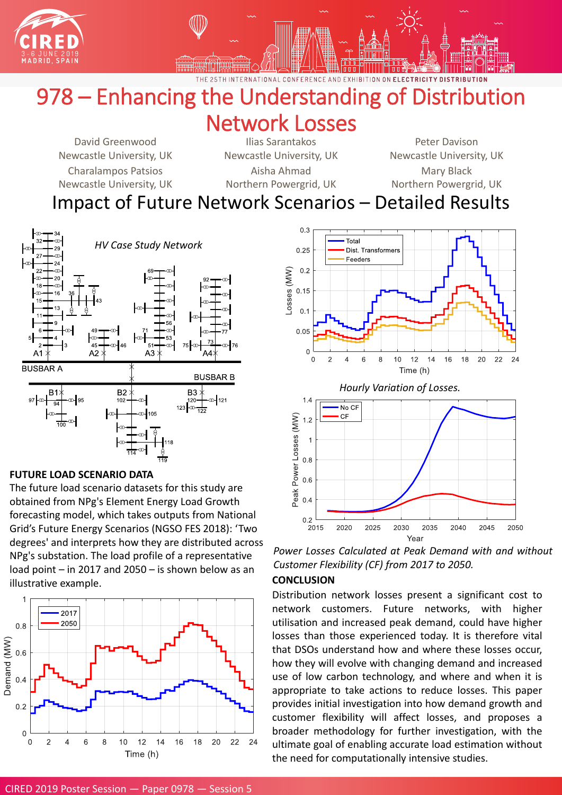



CONFFRFNCF AND ON ELECTRICITY DISTRIBUTION

#### CIRED 2019 Poster Session — Paper 0978 — Session 5

## 978 – Enhancing the Understanding of Distribution Network Losses

## Impact of Future Network Scenarios – Detailed Results

David Greenwood Newcastle University, UK

Ilias Sarantakos Newcastle University, UK

Peter Davison Newcastle University, UK

Charalampos Patsios

Newcastle University, UK

Aisha Ahmad

Northern Powergrid, UK

Mary Black Northern Powergrid, UK



## **FUTURE LOAD SCENARIO DATA**

The future load scenario datasets for this study are obtained from NPg's Element Energy Load Growth forecasting model, which takes outputs from National Grid's Future Energy Scenarios (NGSO FES 2018): 'Two degrees' and interprets how they are distributed across NPg's substation. The load profile of a representative load point – in 2017 and 2050 – is shown below as an illustrative example.





## **CONCLUSION**

Distribution network losses present a significant cost to network customers. Future networks, with higher utilisation and increased peak demand, could have higher losses than those experienced today. It is therefore vital that DSOs understand how and where these losses occur, how they will evolve with changing demand and increased use of low carbon technology, and where and when it is appropriate to take actions to reduce losses. This paper provides initial investigation into how demand growth and customer flexibility will affect losses, and proposes a broader methodology for further investigation, with the ultimate goal of enabling accurate load estimation without the need for computationally intensive studies.

*Power Losses Calculated at Peak Demand with and without Customer Flexibility (CF) from 2017 to 2050.*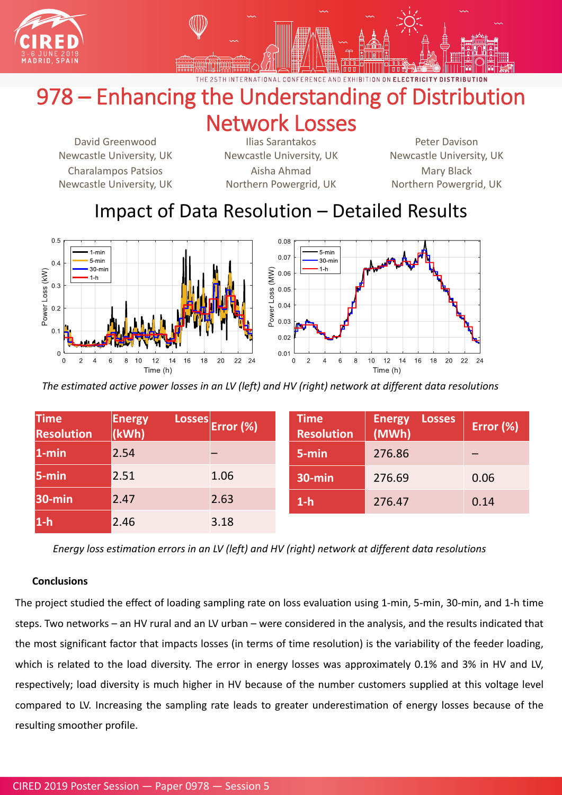



CONFFRENCE AND ON ELECTRICITY DISTRIBUTION

## 978 – Enhancing the Understanding of Distribution Network Losses

CIRED 2019 Poster Session — Paper 0978 — Session 5

## Impact of Data Resolution – Detailed Results



David Greenwood Newcastle University, UK Charalampos Patsios Newcastle University, UK

Ilias Sarantakos Newcastle University, UK Aisha Ahmad Northern Powergrid, UK

Peter Davison Newcastle University, UK Mary Black Northern Powergrid, UK

*The estimated active power losses in an LV (left) and HV (right) network at different data resolutions* 

**Time**

**Energy Losses**

**Time**

| 10000W<br>Resolution | <b>FIILIPY</b><br>(kWh) | $\frac{1000000}{1000000}$ (%) | <u>IIIIV</u><br>Resolution | <b>EULLEY</b><br><b>EANACH</b><br>(MWh) | Error (%) |
|----------------------|-------------------------|-------------------------------|----------------------------|-----------------------------------------|-----------|
| $1 - min$            | 2.54                    |                               | 5-min                      | 276.86                                  |           |
| 5-min                | 2.51                    | 1.06                          | <b>30-min</b>              | 276.69                                  | 0.06      |
| <b>30-min</b>        | 2.47                    | 2.63                          | $1-h$                      | 276.47                                  | 0.14      |
| $1-h$                | 2.46                    | 3.18                          |                            |                                         |           |

**Energy Losses**

*Energy loss estimation errors in an LV (left) and HV (right) network at different data resolutions* 

### **Conclusions**

The project studied the effect of loading sampling rate on loss evaluation using 1-min, 5-min, 30-min, and 1-h time steps. Two networks – an HV rural and an LV urban – were considered in the analysis, and the results indicated that

the most significant factor that impacts losses (in terms of time resolution) is the variability of the feeder loading,

which is related to the load diversity. The error in energy losses was approximately 0.1% and 3% in HV and LV,

respectively; load diversity is much higher in HV because of the number customers supplied at this voltage level

compared to LV. Increasing the sampling rate leads to greater underestimation of energy losses because of the

resulting smoother profile.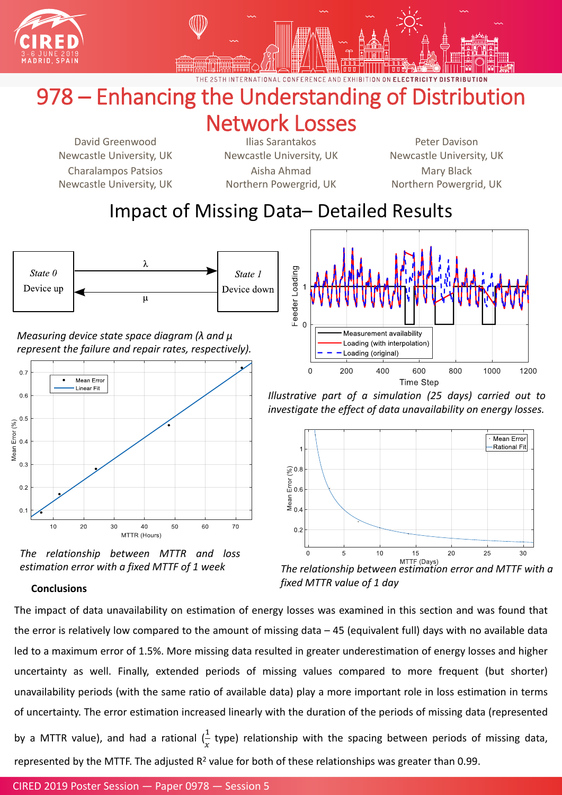



CONFFRENCE AND ON ELECTRICITY DISTRIBUTION

## 978 – Enhancing the Understanding of Distribution Network Losses

## Impact of Missing Data– Detailed Results



David Greenwood Newcastle University, UK Charalampos Patsios Newcastle University, UK

Ilias Sarantakos Newcastle University, UK Aisha Ahmad Northern Powergrid, UK

Peter Davison Newcastle University, UK Mary Black Northern Powergrid, UK

*Measuring device state space diagram (λ and μ represent the failure and repair rates, respectively).*





*The relationship between MTTR and loss*



#### **Conclusions**

The impact of data unavailability on estimation of energy losses was examined in this section and was found that

the error is relatively low compared to the amount of missing data  $-45$  (equivalent full) days with no available data

led to a maximum error of 1.5%. More missing data resulted in greater underestimation of energy losses and higher

uncertainty as well. Finally, extended periods of missing values compared to more frequent (but shorter)

unavailability periods (with the same ratio of available data) play a more important role in loss estimation in terms

of uncertainty. The error estimation increased linearly with the duration of the periods of missing data (represented

by a MTTR value), and had a rational ( 1  $\mathcal{X}$ type) relationship with the spacing between periods of missing data,

represented by the MTTF. The adjusted  $R^2$  value for both of these relationships was greater than 0.99.

### CIRED 2019 Poster Session — Paper 0978 — Session 5